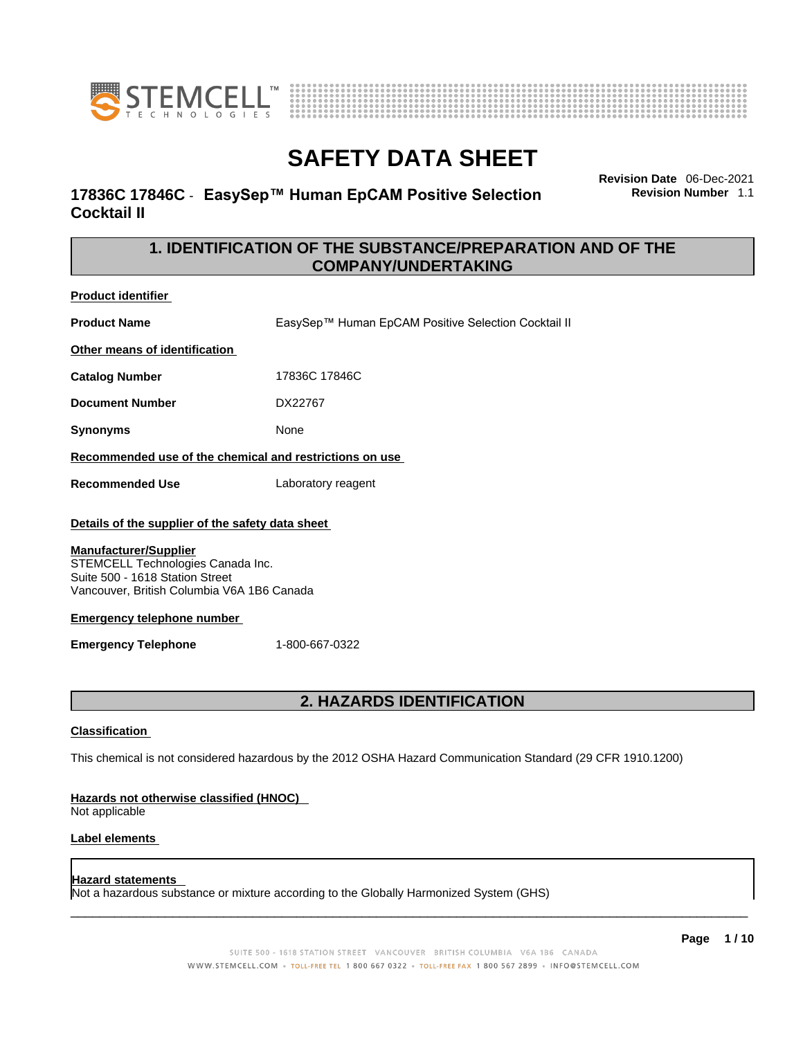



### **17836C 17846C** - **EasySep™ Human EpCAM Positive Selection Cocktail II**

**Revision Date** 06-Dec-2021 **Revision Number** 1.1

### **1. IDENTIFICATION OF THE SUBSTANCE/PREPARATION AND OF THE COMPANY/UNDERTAKING**

**Product identifier**

**Product Name** EasySep™ Human EpCAM Positive Selection Cocktail II **Other means of identification**

**Catalog Number** 17836C 17846C

**Document Number** DX22767

**Synonyms** None

**Recommended use of the chemical and restrictions on use**

**Recommended Use** Laboratory reagent

#### **Details of the supplier of the safety data sheet**

#### **Manufacturer/Supplier**

STEMCELL Technologies Canada Inc. Suite 500 - 1618 Station Street Vancouver, British Columbia V6A 1B6 Canada

#### **Emergency telephone number**

**Emergency Telephone** 1-800-667-0322

### **2. HAZARDS IDENTIFICATION**

#### **Classification**

This chemical is not considered hazardous by the 2012 OSHA Hazard Communication Standard (29 CFR 1910.1200)

#### **Hazards not otherwise classified (HNOC)**

Not applicable

#### **Label elements**

#### **Hazard statements**

Not a hazardous substance or mixture according to the Globally Harmonized System (GHS)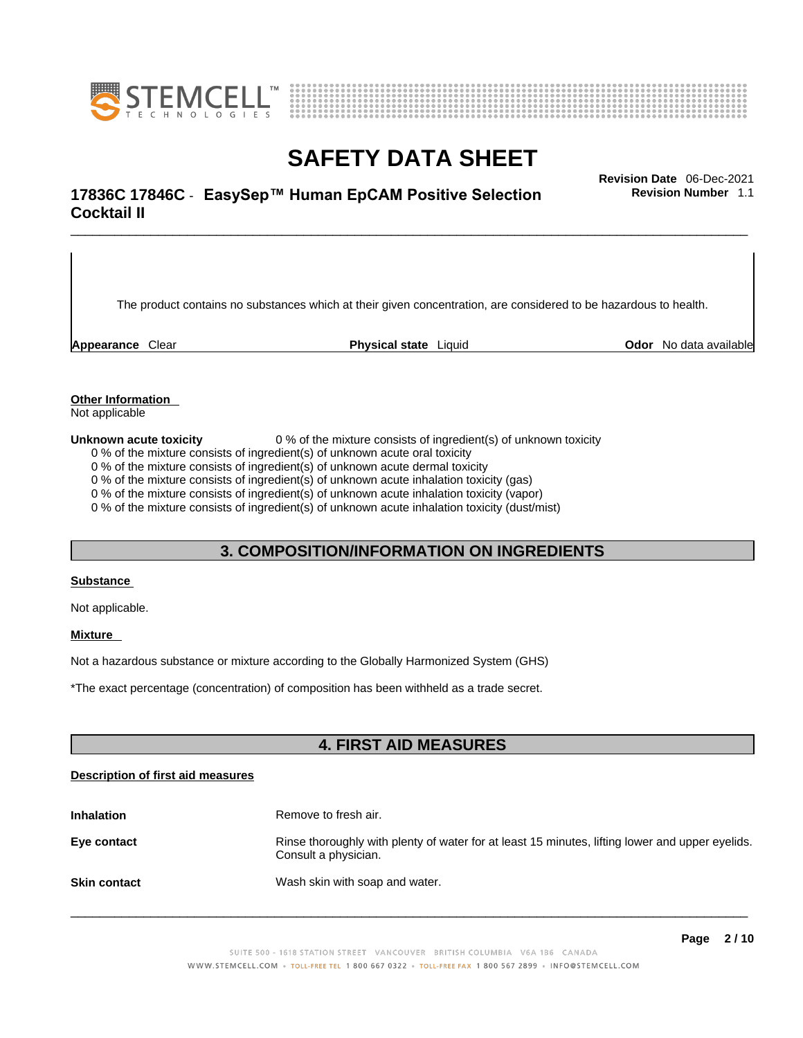



# \_\_\_\_\_\_\_\_\_\_\_\_\_\_\_\_\_\_\_\_\_\_\_\_\_\_\_\_\_\_\_\_\_\_\_\_\_\_\_\_\_\_\_\_\_\_\_\_\_\_\_\_\_\_\_\_\_\_\_\_\_\_\_\_\_\_\_\_\_\_\_\_\_\_\_\_\_\_\_\_\_\_\_\_\_\_\_\_\_\_\_\_\_ **Revision Date** 06-Dec-2021 **17836C 17846C** - **EasySep™ Human EpCAM Positive Selection Cocktail II**

The product contains no substances which at their given concentration, are considered to be hazardous to health.

**Appearance** Clear **Physical state** Liquid **Odor** No data available

**Revision Number** 1.1

**Other Information** 

Not applicable

**Unknown acute toxicity** 0 % of the mixture consists of ingredient(s) of unknown toxicity

0 % of the mixture consists of ingredient(s) of unknown acute oral toxicity

0 % of the mixture consists of ingredient(s) of unknown acute dermal toxicity

0 % of the mixture consists of ingredient(s) of unknown acute inhalation toxicity (gas)

0 % of the mixture consists of ingredient(s) of unknown acute inhalation toxicity (vapor)

0 % of the mixture consists of ingredient(s) of unknown acute inhalation toxicity (dust/mist)

#### **3. COMPOSITION/INFORMATION ON INGREDIENTS**

#### **Substance**

Not applicable.

#### **Mixture**

Not a hazardous substance or mixture according to the Globally Harmonized System (GHS)

\*The exact percentage (concentration) ofcomposition has been withheld as a trade secret.

### **4. FIRST AID MEASURES**

#### **Description of first aid measures**

| <b>Inhalation</b>   | Remove to fresh air.                                                                                                    |
|---------------------|-------------------------------------------------------------------------------------------------------------------------|
| Eye contact         | Rinse thoroughly with plenty of water for at least 15 minutes, lifting lower and upper eyelids.<br>Consult a physician. |
| <b>Skin contact</b> | Wash skin with soap and water.                                                                                          |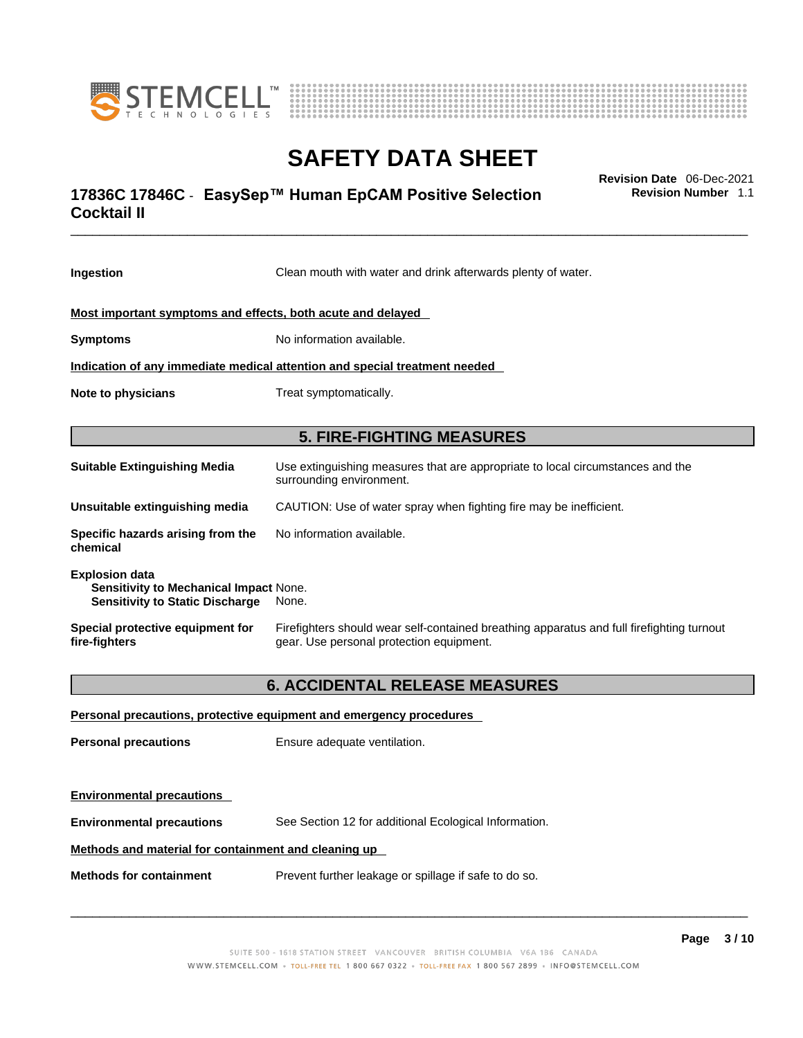



# \_\_\_\_\_\_\_\_\_\_\_\_\_\_\_\_\_\_\_\_\_\_\_\_\_\_\_\_\_\_\_\_\_\_\_\_\_\_\_\_\_\_\_\_\_\_\_\_\_\_\_\_\_\_\_\_\_\_\_\_\_\_\_\_\_\_\_\_\_\_\_\_\_\_\_\_\_\_\_\_\_\_\_\_\_\_\_\_\_\_\_\_\_ **Revision Date** 06-Dec-2021 **17836C 17846C** - **EasySep™ Human EpCAM Positive Selection Cocktail II**

**Revision Number** 1.1

| Ingestion                                                                                                 | Clean mouth with water and drink afterwards plenty of water.                                                                          |
|-----------------------------------------------------------------------------------------------------------|---------------------------------------------------------------------------------------------------------------------------------------|
| Most important symptoms and effects, both acute and delayed                                               |                                                                                                                                       |
| <b>Symptoms</b>                                                                                           | No information available.                                                                                                             |
|                                                                                                           | Indication of any immediate medical attention and special treatment needed                                                            |
| Note to physicians                                                                                        | Treat symptomatically.                                                                                                                |
|                                                                                                           | <b>5. FIRE-FIGHTING MEASURES</b>                                                                                                      |
| <b>Suitable Extinguishing Media</b>                                                                       | Use extinguishing measures that are appropriate to local circumstances and the<br>surrounding environment.                            |
| Unsuitable extinguishing media                                                                            | CAUTION: Use of water spray when fighting fire may be inefficient.                                                                    |
| Specific hazards arising from the<br>chemical                                                             | No information available.                                                                                                             |
| <b>Explosion data</b><br>Sensitivity to Mechanical Impact None.<br><b>Sensitivity to Static Discharge</b> | None.                                                                                                                                 |
| Special protective equipment for<br>fire-fighters                                                         | Firefighters should wear self-contained breathing apparatus and full firefighting turnout<br>gear. Use personal protection equipment. |
|                                                                                                           | <b>6. ACCIDENTAL RELEASE MEASURES</b>                                                                                                 |
|                                                                                                           | Personal precautions, protective equipment and emergency procedures                                                                   |
| <b>Personal precautions</b>                                                                               | Ensure adequate ventilation.                                                                                                          |
| <b>Environmental precautions</b>                                                                          |                                                                                                                                       |
| <b>Environmental precautions</b>                                                                          | See Section 12 for additional Ecological Information.                                                                                 |
| Methods and material for containment and cleaning up                                                      |                                                                                                                                       |

**Methods for containment** Prevent further leakage or spillage if safe to do so.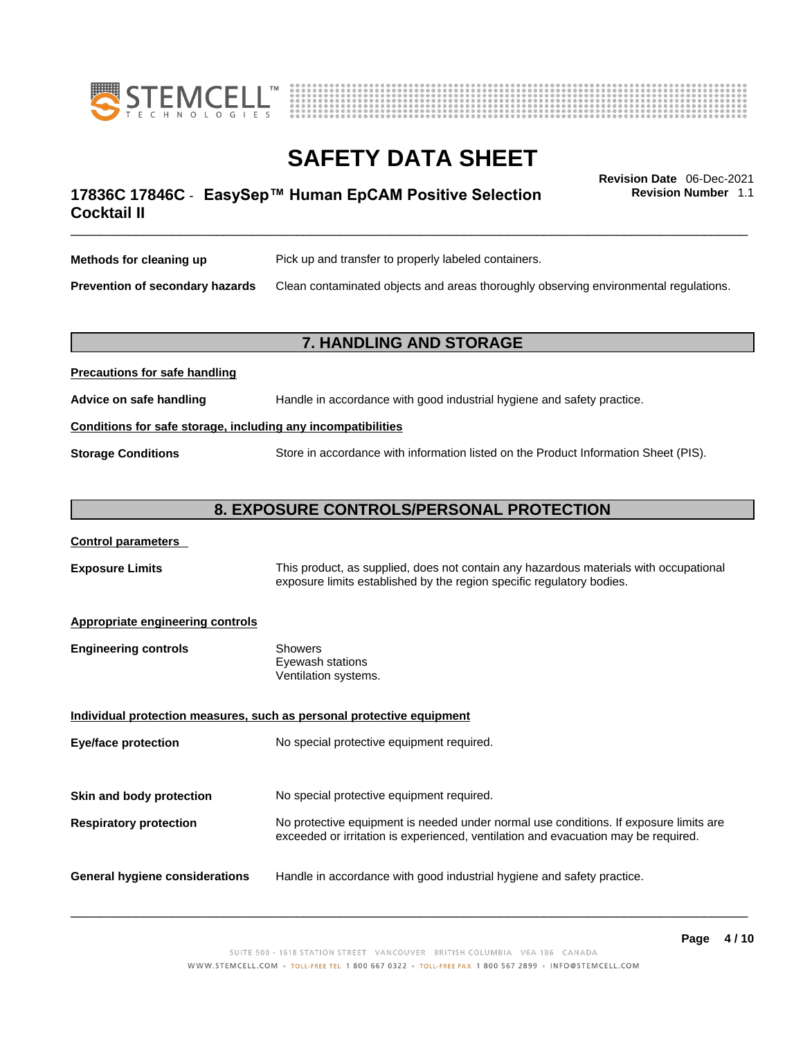



# \_\_\_\_\_\_\_\_\_\_\_\_\_\_\_\_\_\_\_\_\_\_\_\_\_\_\_\_\_\_\_\_\_\_\_\_\_\_\_\_\_\_\_\_\_\_\_\_\_\_\_\_\_\_\_\_\_\_\_\_\_\_\_\_\_\_\_\_\_\_\_\_\_\_\_\_\_\_\_\_\_\_\_\_\_\_\_\_\_\_\_\_\_ **Revision Date** 06-Dec-2021 **17836C 17846C** - **EasySep™ Human EpCAM Positive Selection Cocktail II**

**Revision Number** 1.1

| Methods for cleaning up         | Pick up and transfer to properly labeled containers.                                 |
|---------------------------------|--------------------------------------------------------------------------------------|
| Prevention of secondary hazards | Clean contaminated objects and areas thoroughly observing environmental regulations. |

### **7. HANDLING AND STORAGE**

| Advice on safe handling   | Handle in accordance with good industrial hygiene and safety practice.              |  |
|---------------------------|-------------------------------------------------------------------------------------|--|
|                           | Conditions for safe storage, including any incompatibilities                        |  |
| <b>Storage Conditions</b> | Store in accordance with information listed on the Product Information Sheet (PIS). |  |

### **8. EXPOSURE CONTROLS/PERSONAL PROTECTION**

#### **Control parameters**

**Precautions for safe handling**

**Exposure Limits** This product, as supplied, does not contain any hazardous materials with occupational exposure limits established by the region specific regulatory bodies.

#### **Appropriate engineering controls**

| Showers              |
|----------------------|
| Eyewash stations     |
| Ventilation systems. |
|                      |

**Individual protection measures, such as personal protective equipment Eye/face protection** No special protective equipment required. **Skin and body protection** No special protective equipment required. **Respiratory protection** No protective equipment is needed under normal use conditions. If exposure limits are exceeded or irritation is experienced, ventilation and evacuation may be required. **General hygiene considerations** Handle in accordance with good industrial hygiene and safety practice.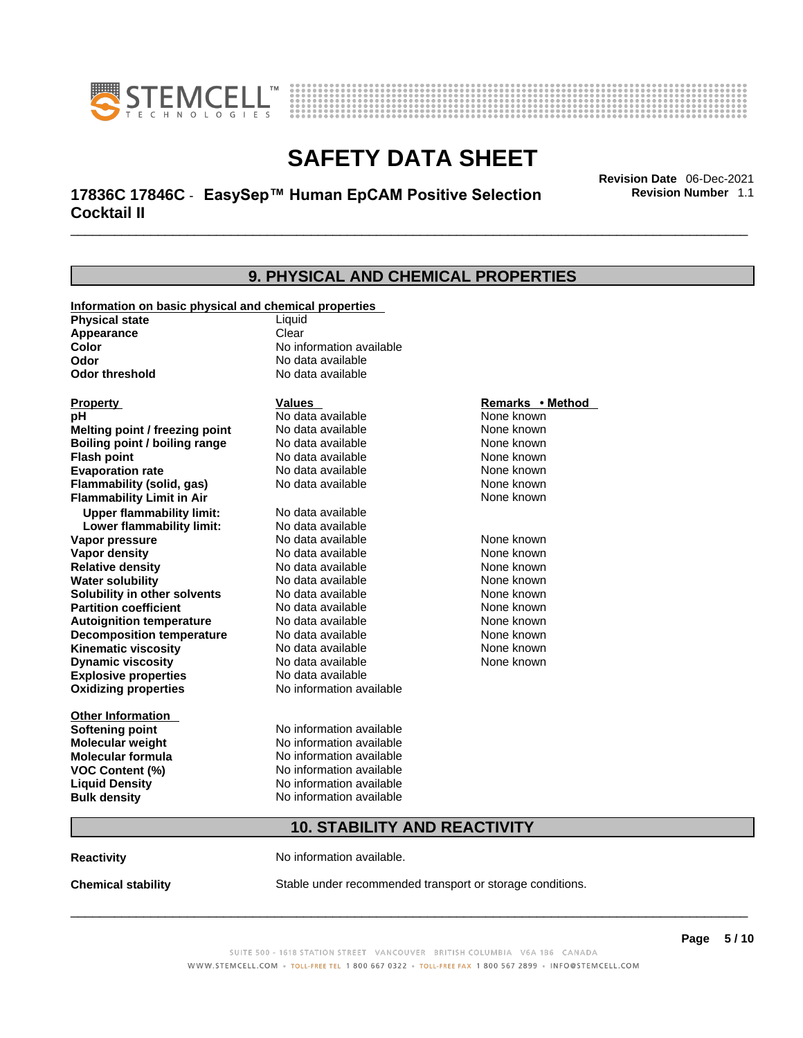



# \_\_\_\_\_\_\_\_\_\_\_\_\_\_\_\_\_\_\_\_\_\_\_\_\_\_\_\_\_\_\_\_\_\_\_\_\_\_\_\_\_\_\_\_\_\_\_\_\_\_\_\_\_\_\_\_\_\_\_\_\_\_\_\_\_\_\_\_\_\_\_\_\_\_\_\_\_\_\_\_\_\_\_\_\_\_\_\_\_\_\_\_\_ **Revision Date** 06-Dec-2021 **17836C 17846C** - **EasySep™ Human EpCAM Positive Selection Cocktail II**

**Revision Number** 1.1

| 9. PHYSICAL AND CHEMICAL PROPERTIES                                            |                                     |                  |  |
|--------------------------------------------------------------------------------|-------------------------------------|------------------|--|
|                                                                                |                                     |                  |  |
| Information on basic physical and chemical properties<br><b>Physical state</b> | Liquid                              |                  |  |
| <b>Appearance</b>                                                              | Clear                               |                  |  |
| Color                                                                          | No information available            |                  |  |
| Odor                                                                           | No data available                   |                  |  |
| <b>Odor threshold</b>                                                          | No data available                   |                  |  |
| <b>Property</b>                                                                | Values                              | Remarks • Method |  |
| рH                                                                             | No data available                   | None known       |  |
| Melting point / freezing point                                                 | No data available                   | None known       |  |
| <b>Boiling point / boiling range</b>                                           | No data available                   | None known       |  |
| <b>Flash point</b>                                                             | No data available                   | None known       |  |
| <b>Evaporation rate</b>                                                        | No data available                   | None known       |  |
| Flammability (solid, gas)                                                      | No data available                   | None known       |  |
| <b>Flammability Limit in Air</b>                                               |                                     | None known       |  |
| <b>Upper flammability limit:</b>                                               | No data available                   |                  |  |
| Lower flammability limit:                                                      | No data available                   |                  |  |
| Vapor pressure                                                                 | No data available                   | None known       |  |
| <b>Vapor density</b>                                                           | No data available                   | None known       |  |
| <b>Relative density</b>                                                        | No data available                   | None known       |  |
| <b>Water solubility</b>                                                        | No data available                   | None known       |  |
| Solubility in other solvents                                                   | No data available                   | None known       |  |
| <b>Partition coefficient</b>                                                   | No data available                   | None known       |  |
| <b>Autoignition temperature</b>                                                | No data available                   | None known       |  |
| <b>Decomposition temperature</b>                                               | No data available                   | None known       |  |
| <b>Kinematic viscosity</b>                                                     | No data available                   | None known       |  |
| <b>Dynamic viscosity</b>                                                       | No data available                   | None known       |  |
| <b>Explosive properties</b>                                                    | No data available                   |                  |  |
| <b>Oxidizing properties</b>                                                    | No information available            |                  |  |
| <b>Other Information</b>                                                       |                                     |                  |  |
| Softening point                                                                | No information available            |                  |  |
| <b>Molecular weight</b>                                                        | No information available            |                  |  |
| <b>Molecular formula</b>                                                       | No information available            |                  |  |
| <b>VOC Content (%)</b>                                                         | No information available            |                  |  |
| <b>Liquid Density</b>                                                          | No information available            |                  |  |
| <b>Bulk density</b>                                                            | No information available            |                  |  |
|                                                                                | <b>10. STABILITY AND REACTIVITY</b> |                  |  |
|                                                                                |                                     |                  |  |

**Reactivity No information available.** 

**Chemical stability** Stable under recommended transport or storage conditions.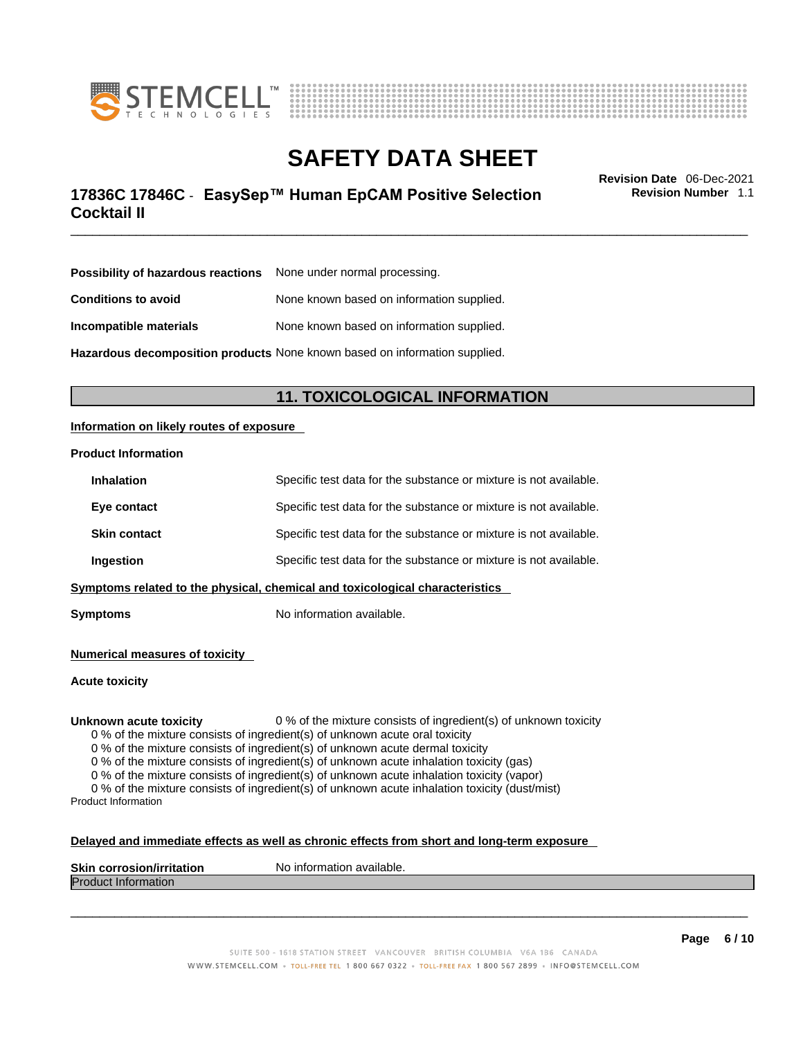



# \_\_\_\_\_\_\_\_\_\_\_\_\_\_\_\_\_\_\_\_\_\_\_\_\_\_\_\_\_\_\_\_\_\_\_\_\_\_\_\_\_\_\_\_\_\_\_\_\_\_\_\_\_\_\_\_\_\_\_\_\_\_\_\_\_\_\_\_\_\_\_\_\_\_\_\_\_\_\_\_\_\_\_\_\_\_\_\_\_\_\_\_\_ **Revision Date** 06-Dec-2021 **17836C 17846C** - **EasySep™ Human EpCAM Positive Selection Cocktail II**

**Revision Number** 1.1

| <b>Possibility of hazardous reactions</b> None under normal processing. |                                                                            |
|-------------------------------------------------------------------------|----------------------------------------------------------------------------|
| <b>Conditions to avoid</b>                                              | None known based on information supplied.                                  |
| Incompatible materials                                                  | None known based on information supplied.                                  |
|                                                                         | Hazardous decomposition products None known based on information supplied. |

**11. TOXICOLOGICAL INFORMATION** 

#### **Information on likely routes of exposure**

#### **Product Information**

| Ingestion           | Specific test data for the substance or mixture is not available. |
|---------------------|-------------------------------------------------------------------|
| <b>Skin contact</b> | Specific test data for the substance or mixture is not available. |
| Eye contact         | Specific test data for the substance or mixture is not available. |
| <b>Inhalation</b>   | Specific test data for the substance or mixture is not available. |

**Symptoms** No information available.

**Numerical measures of toxicity**

**Acute toxicity**

**Unknown acute toxicity** 0 % of the mixture consists of ingredient(s) of unknown toxicity

0 % of the mixture consists of ingredient(s) of unknown acute oral toxicity

0 % of the mixture consists of ingredient(s) of unknown acute dermal toxicity

0 % of the mixture consists of ingredient(s) of unknown acute inhalation toxicity (gas)

0 % of the mixture consists of ingredient(s) of unknown acute inhalation toxicity (vapor)

0 % of the mixture consists of ingredient(s) of unknown acute inhalation toxicity (dust/mist) Product Information

#### **Delayed and immediate effects as well as chronic effects from short and long-term exposure**

| <b>Skin corrosion/irritation</b> | ™No informa<br>mation available. |
|----------------------------------|----------------------------------|
| Product.<br>: Information        |                                  |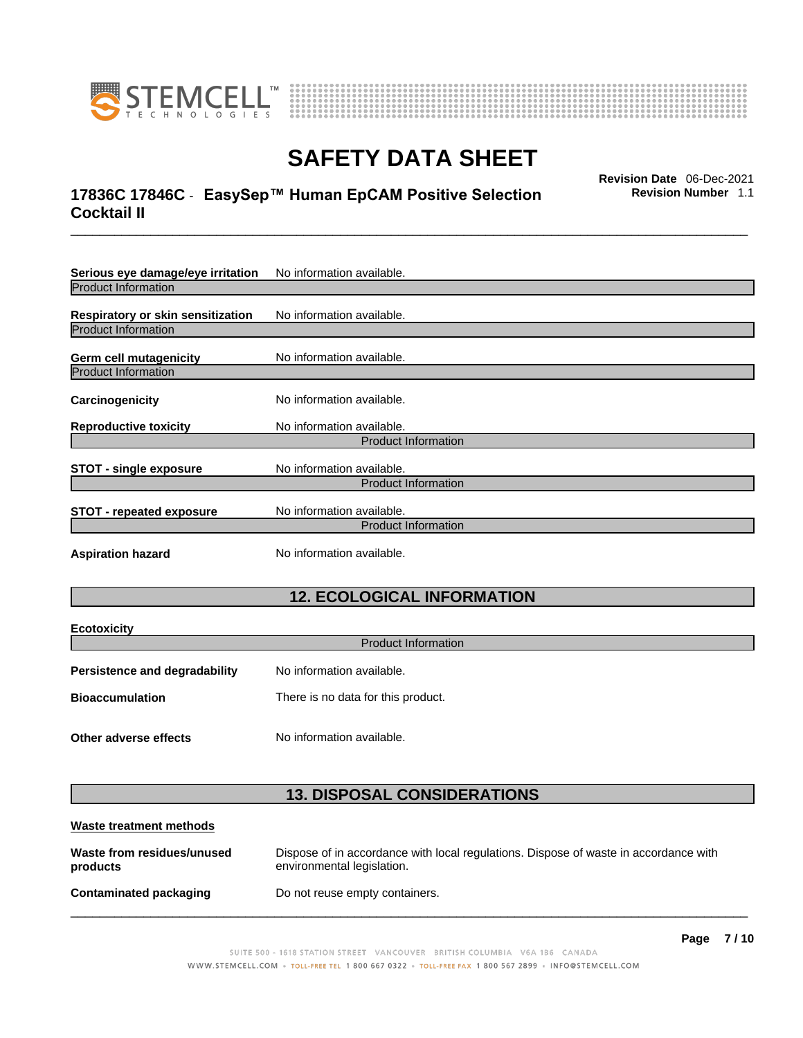



# \_\_\_\_\_\_\_\_\_\_\_\_\_\_\_\_\_\_\_\_\_\_\_\_\_\_\_\_\_\_\_\_\_\_\_\_\_\_\_\_\_\_\_\_\_\_\_\_\_\_\_\_\_\_\_\_\_\_\_\_\_\_\_\_\_\_\_\_\_\_\_\_\_\_\_\_\_\_\_\_\_\_\_\_\_\_\_\_\_\_\_\_\_ **Revision Date** 06-Dec-2021 **17836C 17846C** - **EasySep™ Human EpCAM Positive Selection Cocktail II**

**Revision Number** 1.1

| Serious eye damage/eye irritation        | No information available.  |
|------------------------------------------|----------------------------|
| <b>Product Information</b>               |                            |
| <b>Respiratory or skin sensitization</b> | No information available.  |
| <b>Product Information</b>               |                            |
| Germ cell mutagenicity                   | No information available.  |
| <b>Product Information</b>               |                            |
| Carcinogenicity                          | No information available.  |
| <b>Reproductive toxicity</b>             | No information available.  |
|                                          | <b>Product Information</b> |
| STOT - single exposure                   | No information available.  |
|                                          | <b>Product Information</b> |
| <b>STOT - repeated exposure</b>          | No information available.  |
|                                          | <b>Product Information</b> |
| <b>Aspiration hazard</b>                 | No information available.  |

### **12. ECOLOGICAL INFORMATION**

| <b>Ecotoxicity</b>                   | <b>Product Information</b>         |
|--------------------------------------|------------------------------------|
|                                      |                                    |
| <b>Persistence and degradability</b> | No information available.          |
| <b>Bioaccumulation</b>               | There is no data for this product. |
| Other adverse effects                | No information available.          |

### **13. DISPOSAL CONSIDERATIONS**

| Waste treatment methods                |                                                                                                                    |
|----------------------------------------|--------------------------------------------------------------------------------------------------------------------|
| Waste from residues/unused<br>products | Dispose of in accordance with local regulations. Dispose of waste in accordance with<br>environmental legislation. |
| Contaminated packaging                 | Do not reuse empty containers.                                                                                     |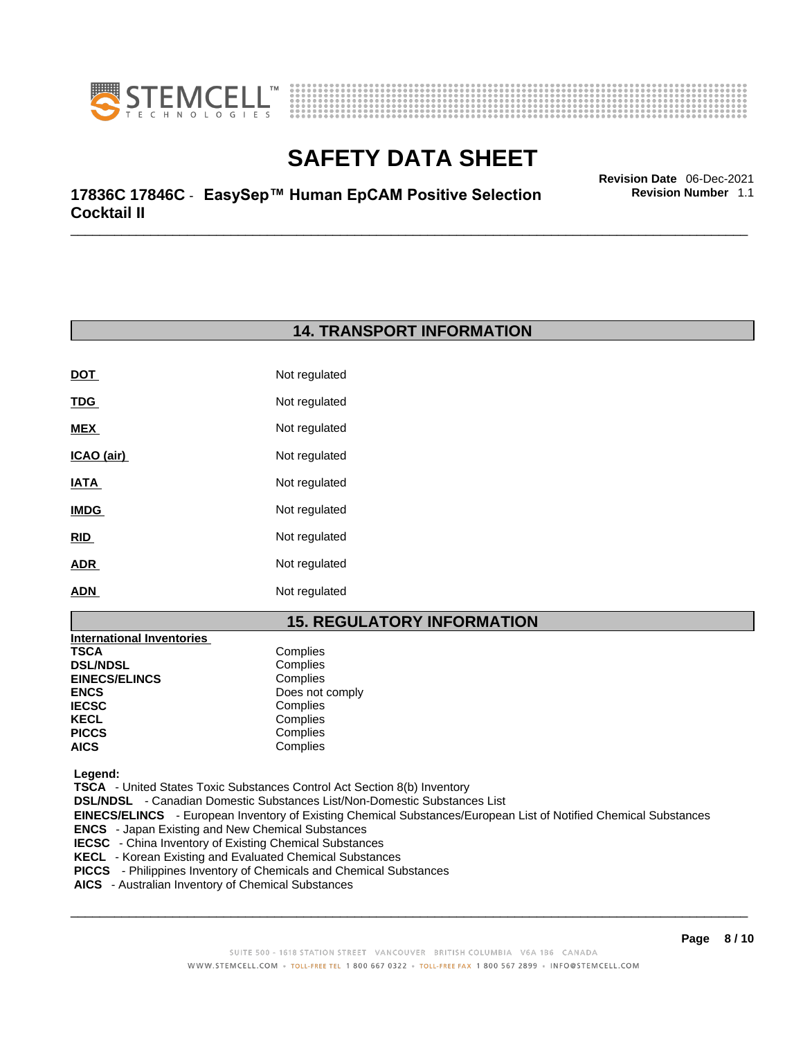



\_\_\_\_\_\_\_\_\_\_\_\_\_\_\_\_\_\_\_\_\_\_\_\_\_\_\_\_\_\_\_\_\_\_\_\_\_\_\_\_\_\_\_\_\_\_\_\_\_\_\_\_\_\_\_\_\_\_\_\_\_\_\_\_\_\_\_\_\_\_\_\_\_\_\_\_\_\_\_\_\_\_\_\_\_\_\_\_\_\_\_\_\_ **Revision Date** 06-Dec-2021 **17836C 17846C** - **EasySep™ Human EpCAM Positive Selection Cocktail II** 

**Revision Number** 1.1

### **14. TRANSPORT INFORMATION**

| DOT         | Not regulated |
|-------------|---------------|
| <b>TDG</b>  | Not regulated |
| <b>MEX</b>  | Not regulated |
| ICAO (air)  | Not regulated |
| IATA        | Not regulated |
| <b>IMDG</b> | Not regulated |
| RID         | Not regulated |
| ADR         | Not regulated |
| ADN         | Not regulated |

### **15. REGULATORY INFORMATION**

| <b>International Inventories</b> |                 |
|----------------------------------|-----------------|
| TSCA                             | Complies        |
| <b>DSL/NDSL</b>                  | Complies        |
| <b>EINECS/ELINCS</b>             | Complies        |
| ENCS                             | Does not comply |
| <b>IECSC</b>                     | Complies        |
| KECL                             | Complies        |
| PICCS                            | Complies        |
| AICS                             | Complies        |
|                                  |                 |

 **Legend:** 

 **TSCA** - United States Toxic Substances Control Act Section 8(b) Inventory

 **DSL/NDSL** - Canadian Domestic Substances List/Non-Domestic Substances List

 **EINECS/ELINCS** - European Inventory of Existing Chemical Substances/European List of Notified Chemical Substances

- **ENCS**  Japan Existing and New Chemical Substances
- **IECSC**  China Inventory of Existing Chemical Substances
- **KECL**  Korean Existing and Evaluated Chemical Substances
- **PICCS**  Philippines Inventory of Chemicals and Chemical Substances
- **AICS**  Australian Inventory of Chemical Substances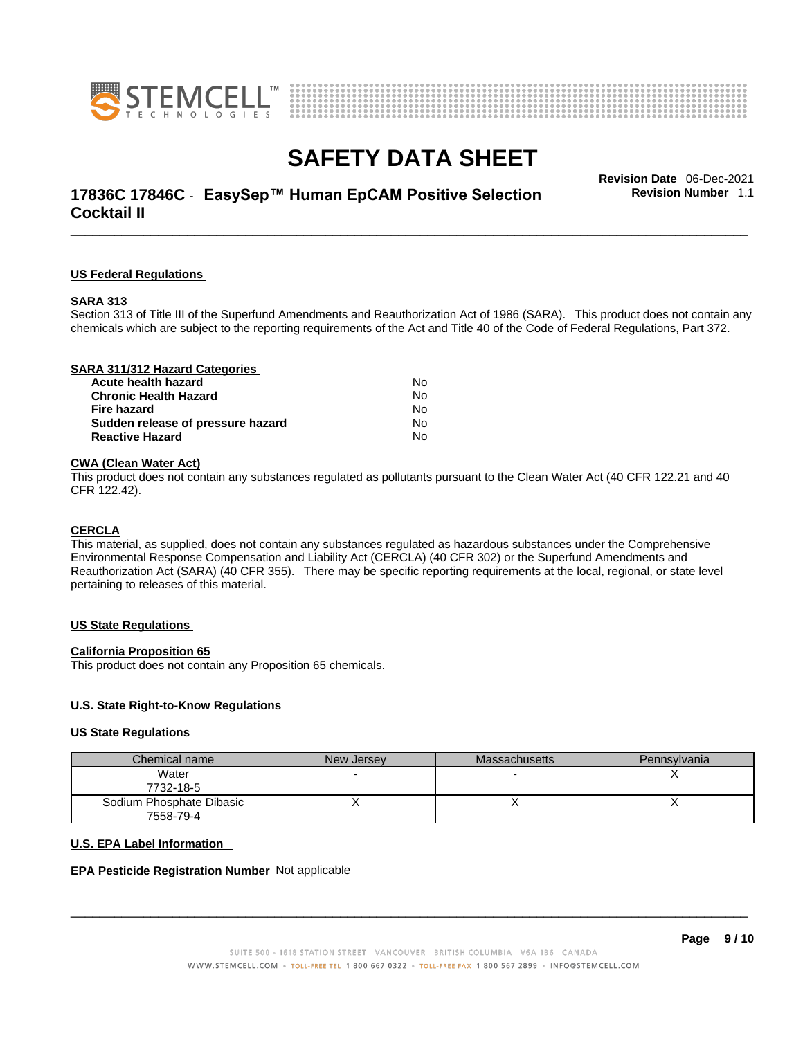



# \_\_\_\_\_\_\_\_\_\_\_\_\_\_\_\_\_\_\_\_\_\_\_\_\_\_\_\_\_\_\_\_\_\_\_\_\_\_\_\_\_\_\_\_\_\_\_\_\_\_\_\_\_\_\_\_\_\_\_\_\_\_\_\_\_\_\_\_\_\_\_\_\_\_\_\_\_\_\_\_\_\_\_\_\_\_\_\_\_\_\_\_\_ **Revision Date** 06-Dec-2021 **17836C 17846C** - **EasySep™ Human EpCAM Positive Selection Cocktail II**

**Revision Number** 1.1

#### **US Federal Regulations**

#### **SARA 313**

Section 313 of Title III of the Superfund Amendments and Reauthorization Act of 1986 (SARA). This product does not contain any chemicals which are subject to the reporting requirements of the Act and Title 40 of the Code of Federal Regulations, Part 372.

| SARA 311/312 Hazard Categories    |    |  |
|-----------------------------------|----|--|
| Acute health hazard               | N٥ |  |
| <b>Chronic Health Hazard</b>      | No |  |
| Fire hazard                       | No |  |
| Sudden release of pressure hazard | No |  |
| <b>Reactive Hazard</b>            | No |  |
|                                   |    |  |

#### **CWA** (Clean Water Act)

This product does not contain any substances regulated as pollutants pursuant to the Clean Water Act (40 CFR 122.21 and 40 CFR 122.42).

#### **CERCLA**

This material, as supplied, does not contain any substances regulated as hazardous substances under the Comprehensive Environmental Response Compensation and Liability Act (CERCLA) (40 CFR 302) or the Superfund Amendments and Reauthorization Act (SARA) (40 CFR 355). There may be specific reporting requirements at the local, regional, or state level pertaining to releases of this material.

#### **US State Regulations**

#### **California Proposition 65**

This product does not contain any Proposition 65 chemicals.

#### **U.S. State Right-to-Know Regulations**

#### **US State Regulations**

| Chemical name            | New Jersey | <b>Massachusetts</b> | Pennsylvania |
|--------------------------|------------|----------------------|--------------|
| Water                    |            |                      |              |
| 7732-18-5                |            |                      |              |
| Sodium Phosphate Dibasic |            |                      |              |
| 7558-79-4                |            |                      |              |

#### **U.S. EPA Label Information**

#### **EPA Pesticide Registration Number** Not applicable